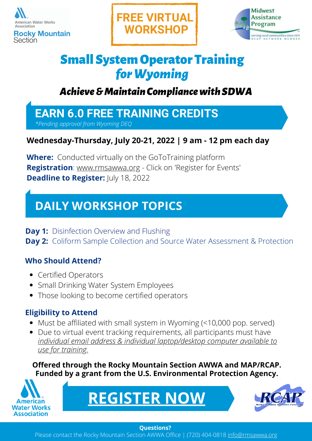





# Small SystemOperator Training *forWyoming*

## *Achieve&MaintainCompliancewithSDWA*

# **EARN 6.0 FREE TRAINING CREDITS**

*\*Pending approval from Wyoming DEQ*

## **Wednesday-Thursday, July 20-21, 2022 | 9 am - 12 pm each day**

**Where:** Conducted virtually on the GoToTraining platform **Registration**: [www.rmsawwa.org](https://www.rmsawwa.org/event/SmallSystemsWY-July2022) - Click on 'Register for Events' **Deadline to Register:** July 18, 2022

# **DAILY WORKSHOP TOPICS**

**Day 1:** Disinfection Overview and Flushing **Day 2:** Coliform Sample Collection and Source Water Assessment & Protection

### **Who Should Attend?**

- Certified Operators
- Small Drinking Water System Employees
- Those looking to become certified operators

### **Eligibility to Attend**

- Must be affiliated with small system in Wyoming (<10,000 pop. served)
- Due to virtual event tracking requirements, all participants must have *individual email address & individual laptop/desktop computer available to use for training.*

**Offered through the Rocky Mountain Section AWWA and MAP/RCAP. Funded by a grant from the U.S. Environmental Protection Agency.**



**[REGISTER NOW](https://www.rmsawwa.org/event/SmallSystemsWY-July2022)**



#### **Questions?**

Please contact the Rocky Mountain Section AWWA Office | (720) 404-0818 i[nfo@rmsawwa.org](http://rmsawwa.org/)